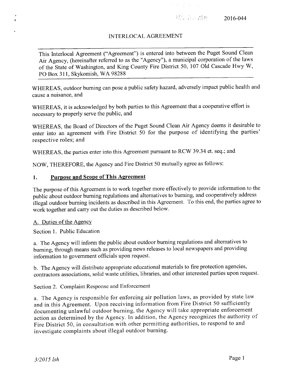•'• ; '-' <sup>&</sup>lt; *' '* <T:H 2016-044

## INTERLOCAL AGREEMENT

This Interlocal Agreement ("Agreement") is entered into between the Puget Sound Clean Air Agency, (hereinafter referred to as the "Agency"), a municipal corporation of the laws of the State of Washington, and King County Fire District 50, 107 Old Cascade Hwy W, PO Box 311, Skykomish, WA 98288

WHEREAS, outdoor burning can pose a public safety hazard, adversely impact public health and cause a nuisance, and

WHEREAS, it is acknowledged by both parties to this Agreement that a cooperative effort is necessary to properly serve the public, and

WHEREAS, the Board of Directors of the Puget Sound Clean Air Agency deems it desirable to enter into an agreement with Fire District 50 for the purpose of identifying the parties' respective roles; and

WHEREAS, the parties enter into this Agreement pursuant to RCW 39.34 et. seq.; and

NOW, THEREFORE, the Agency and Fire District 50 mutually agree as follows:

## 1. Purpose and Scope of This Agreement

The purpose of this Agreement is to work together more effectively to provide information to the public about outdoor burning regulations and alternatives to burning, and cooperatively address illegal outdoor burning incidents as described in this Agreement. To this end, the parties agree to work together and carry out the duties as described below.

## A. Duties of the Agency

Section 1. Public Education

a. The Agency will inform the public about outdoor burning regulations and alternatives to burning, through means such as providing news releases to local newspapers and providing information to government officials upon request.

b. The Agency will distribute appropriate educational materials to fire protection agencies, contractors associations, solid waste utilities, libraries, and other interested parties upon request.

Section 2. Complaint Response and Enforcement

a. The Agency is responsible for enforcing air pollution laws, as provided by state law and in this Agreement. Upon receiving information from Fire District 50 sufficiently documenting unlawful outdoor burning, the Agency will take appropriate enforcement action as determined by the Agency. In addition, the Agency recognizes the authority of Fire District 50, in consultation with other permitting authorities, to respond to and investigate complaints about illegal outdoor burning.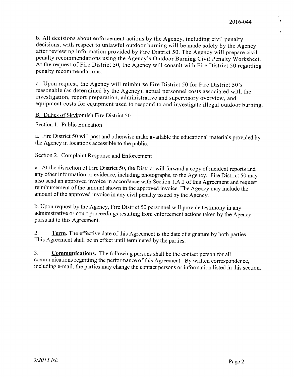b. All decisions about enforcement actions by the Agency, including civil penalty decisions, with respect to unlawful outdoor burning will be made solely by the Agency after reviewing information provided by Fire District 50. The Agency will prepare civil penalty recommendations using the Agency's Outdoor Burning Civil Penalty Worksheet. At the request of Fire District 50, the Agency will consult with Fire District 50 regarding penalty recommendations.

c. Upon request, the Agency will reimburse Fire District 50 for Fire District 50's reasonable (as determined by the Agency), actual personnel costs associated with the investigation, report preparation, administrative and supervisory overview, and equipment costs for equipment used to respond to and investigate illegal outdoor burning.

B. Duties of Skvkomish Fire District 50

Section 1. Public Education

a. Fire District 50 will post and otherwise make available the educational materials provided by the Agency in locations accessible to the public.

Section 2. Complaint Response and Enforcement

a. At the discretion of Fire District 50, the District will forward a copy of incident reports and any other information or evidence, including photographs, to the Agency. Fire District 50 may also send an approved invoice in accordance with Section LA.2 of this Agreement and request reimbursement of the amount shown in the approved invoice. The Agency may include the amount of the approved invoice in any civil penalty issued by the Agency.

b. Upon request by the Agency, Fire District 50 personnel will provide testimony in any administrative or court proceedings resulting from enforcement actions taken by the Agency pursuant to this Agreement.

**2. Term.** The effective date of this Agreement is the date of signature by both parties. This Agreement shall be in effect until terminated by the parties.

**3. Communications.** The following persons shall be the contact person for all communications regarding the performance of this Agreement. By written correspondence, including e-mail, the parties may change the contact persons or information listed in this section.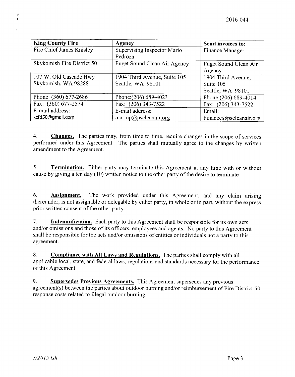| <b>King County Fire</b>    | Agency                       | Send invoices to:      |
|----------------------------|------------------------------|------------------------|
| Fire Chief James Knisley   | Supervising Inspector Mario  | Finance Manager        |
|                            | Pedroza                      |                        |
| Skykomish Fire District 50 | Puget Sound Clean Air Agency | Puget Sound Clean Air  |
|                            |                              | Agency                 |
| 107 W. Old Cascade Hwy     | 1904 Third Avenue, Suite 105 | 1904 Third Avenue,     |
| Skykomish, WA 98288        | Seattle, WA 98101            | Suite 105              |
|                            |                              | Seattle, WA 98101      |
| Phone: (360) 677-2686      | Phone: (206) 689-4023        | Phone: (206) 689-4014  |
| Fax: (360) 677-2574        | Fax: (206) 343-7522          | Fax: (206) 343-7522    |
| E-mail address:            | E-mail address:              | Email:                 |
| kcfd50@gmail.com           | mariop@pscleanair.org        | Finance@pscleanair.org |

**4. Changes.** The parties may, from time to time, require changes in the scope of services performed under this Agreement. The parties shall mutually agree to the changes by written amendment to the Agreement.

**5. Termination.** Either party may terminate this Agreement at any time with or without cause by giving a ten day (10) written notice to the other party of the desire to terminate

**6. Assignment.** The work provided under this Agreement, and any claim arising thereunder, is not assignable or delegable by either party, in whole or in part, without the express prior written consent of the other party.

**7. Indemnification.** Each party to this Agreement shall be responsible for its own acts and/or omissions and those of its officers, employees and agents. No party to this Agreement shall be responsible for the acts and/or omissions of entities or individuals not a party to this agreement.

**8. Compliance with All Laws and Regulations.** The parties shall comply with all applicable local, state, and federal laws, regulations and standards necessary for the performance of this Agreement.

**9. Supersedes Previous Agreements.** This Agreement supersedes any previous agreement(s) between the parties about outdoor burning and/or reimbursement of Fire District 50 response costs related to illegal outdoor burning.

 $\pmb{\epsilon}$